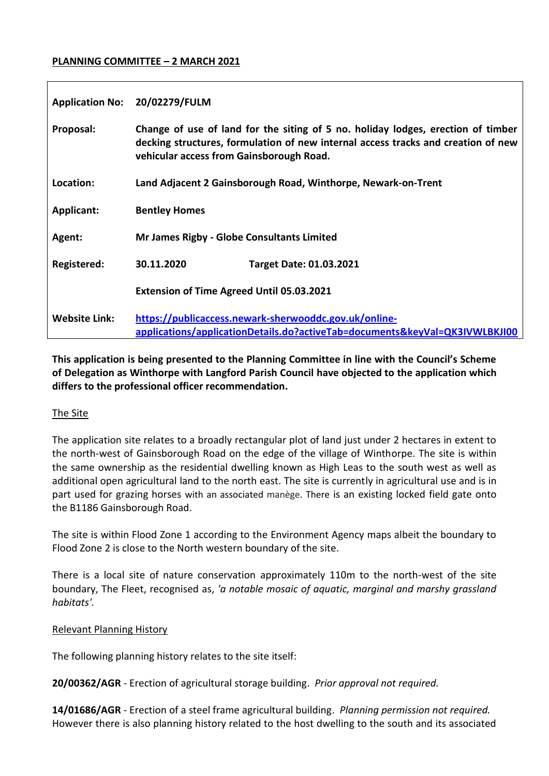### **PLANNING COMMITTEE – 2 MARCH 2021**

| <b>Application No:</b> | 20/02279/FULM                                                                                                                                                                                                     |  |
|------------------------|-------------------------------------------------------------------------------------------------------------------------------------------------------------------------------------------------------------------|--|
| Proposal:              | Change of use of land for the siting of 5 no. holiday lodges, erection of timber<br>decking structures, formulation of new internal access tracks and creation of new<br>vehicular access from Gainsborough Road. |  |
| Location:              | Land Adjacent 2 Gainsborough Road, Winthorpe, Newark-on-Trent                                                                                                                                                     |  |
| <b>Applicant:</b>      | <b>Bentley Homes</b>                                                                                                                                                                                              |  |
| Agent:                 | <b>Mr James Rigby - Globe Consultants Limited</b>                                                                                                                                                                 |  |
| <b>Registered:</b>     | 30.11.2020<br><b>Target Date: 01.03.2021</b>                                                                                                                                                                      |  |
|                        | <b>Extension of Time Agreed Until 05.03.2021</b>                                                                                                                                                                  |  |
| <b>Website Link:</b>   | https://publicaccess.newark-sherwooddc.gov.uk/online-<br>applications/applicationDetails.do?activeTab=documents&keyVal=QK3IVWLBKJI00                                                                              |  |

**This application is being presented to the Planning Committee in line with the Council's Scheme of Delegation as Winthorpe with Langford Parish Council have objected to the application which differs to the professional officer recommendation.**

### The Site

The application site relates to a broadly rectangular plot of land just under 2 hectares in extent to the north-west of Gainsborough Road on the edge of the village of Winthorpe. The site is within the same ownership as the residential dwelling known as High Leas to the south west as well as additional open agricultural land to the north east. The site is currently in agricultural use and is in part used for grazing horses with an associated manège. There is an existing locked field gate onto the B1186 Gainsborough Road.

The site is within Flood Zone 1 according to the Environment Agency maps albeit the boundary to Flood Zone 2 is close to the North western boundary of the site.

There is a local site of nature conservation approximately 110m to the north-west of the site boundary, The Fleet, recognised as, *'a notable mosaic of aquatic, marginal and marshy grassland habitats'.* 

### Relevant Planning History

The following planning history relates to the site itself:

**20/00362/AGR** - Erection of agricultural storage building. *Prior approval not required.*

**14/01686/AGR** - Erection of a steel frame agricultural building. *Planning permission not required.*  However there is also planning history related to the host dwelling to the south and its associated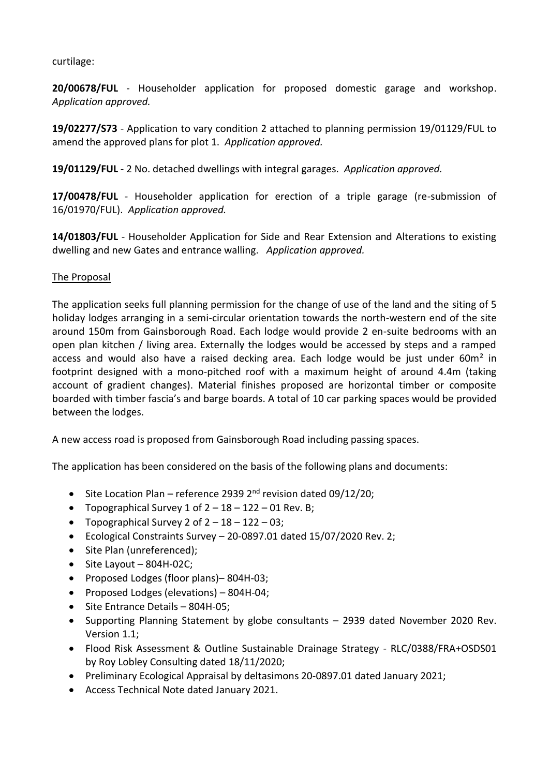curtilage:

**20/00678/FUL** - Householder application for proposed domestic garage and workshop. *Application approved.*

**19/02277/S73** - Application to vary condition 2 attached to planning permission 19/01129/FUL to amend the approved plans for plot 1. *Application approved.*

**19/01129/FUL** - 2 No. detached dwellings with integral garages. *Application approved.*

**17/00478/FUL** - Householder application for erection of a triple garage (re-submission of 16/01970/FUL). *Application approved.*

**14/01803/FUL** - Householder Application for Side and Rear Extension and Alterations to existing dwelling and new Gates and entrance walling. *Application approved.* 

### The Proposal

The application seeks full planning permission for the change of use of the land and the siting of 5 holiday lodges arranging in a semi-circular orientation towards the north-western end of the site around 150m from Gainsborough Road. Each lodge would provide 2 en-suite bedrooms with an open plan kitchen / living area. Externally the lodges would be accessed by steps and a ramped access and would also have a raised decking area. Each lodge would be just under 60m<sup>2</sup> in footprint designed with a mono-pitched roof with a maximum height of around 4.4m (taking account of gradient changes). Material finishes proposed are horizontal timber or composite boarded with timber fascia's and barge boards. A total of 10 car parking spaces would be provided between the lodges.

A new access road is proposed from Gainsborough Road including passing spaces.

The application has been considered on the basis of the following plans and documents:

- Site Location Plan reference 2939 2<sup>nd</sup> revision dated 09/12/20;
- Topographical Survey  $1$  of  $2 18 122 01$  Rev. B;
- Topographical Survey 2 of  $2 18 122 03$ ;
- $\bullet$  Ecological Constraints Survey 20-0897.01 dated 15/07/2020 Rev. 2;
- Site Plan (unreferenced):
- $\bullet$  Site Layout 804H-02C;
- Proposed Lodges (floor plans) 804H-03;
- Proposed Lodges (elevations) 804H-04;
- Site Entrance Details 804H-05;
- Supporting Planning Statement by globe consultants 2939 dated November 2020 Rev. Version 1.1;
- Flood Risk Assessment & Outline Sustainable Drainage Strategy RLC/0388/FRA+OSDS01 by Roy Lobley Consulting dated 18/11/2020;
- Preliminary Ecological Appraisal by deltasimons 20-0897.01 dated January 2021;
- Access Technical Note dated January 2021.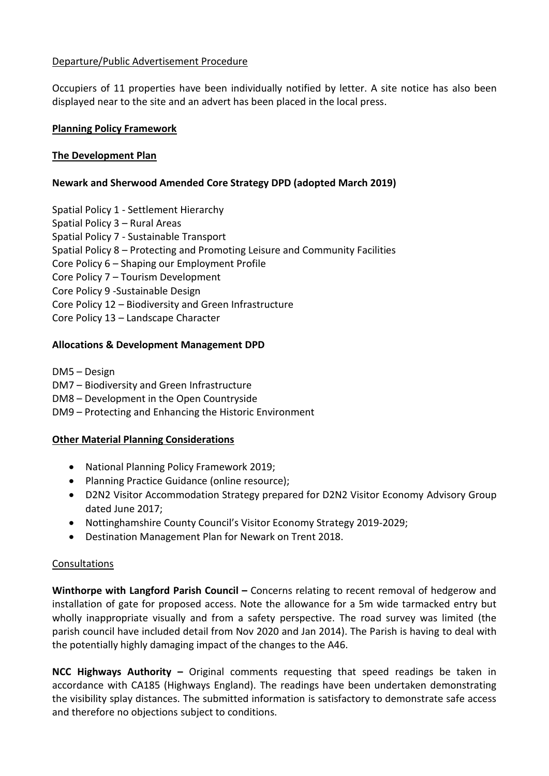## Departure/Public Advertisement Procedure

Occupiers of 11 properties have been individually notified by letter. A site notice has also been displayed near to the site and an advert has been placed in the local press.

### **Planning Policy Framework**

### **The Development Plan**

## **Newark and Sherwood Amended Core Strategy DPD (adopted March 2019)**

- Spatial Policy 1 Settlement Hierarchy
- Spatial Policy 3 Rural Areas
- Spatial Policy 7 Sustainable Transport
- Spatial Policy 8 Protecting and Promoting Leisure and Community Facilities
- Core Policy 6 Shaping our Employment Profile
- Core Policy 7 Tourism Development
- Core Policy 9 -Sustainable Design
- Core Policy 12 Biodiversity and Green Infrastructure
- Core Policy 13 Landscape Character

### **Allocations & Development Management DPD**

- DM5 Design
- DM7 Biodiversity and Green Infrastructure
- DM8 Development in the Open Countryside
- DM9 Protecting and Enhancing the Historic Environment

### **Other Material Planning Considerations**

- National Planning Policy Framework 2019;
- Planning Practice Guidance (online resource);
- D2N2 Visitor Accommodation Strategy prepared for D2N2 Visitor Economy Advisory Group dated June 2017;
- Nottinghamshire County Council's Visitor Economy Strategy 2019-2029;
- Destination Management Plan for Newark on Trent 2018.

### Consultations

**Winthorpe with Langford Parish Council –** Concerns relating to recent removal of hedgerow and installation of gate for proposed access. Note the allowance for a 5m wide tarmacked entry but wholly inappropriate visually and from a safety perspective. The road survey was limited (the parish council have included detail from Nov 2020 and Jan 2014). The Parish is having to deal with the potentially highly damaging impact of the changes to the A46.

**NCC Highways Authority –** Original comments requesting that speed readings be taken in accordance with CA185 (Highways England). The readings have been undertaken demonstrating the visibility splay distances. The submitted information is satisfactory to demonstrate safe access and therefore no objections subject to conditions.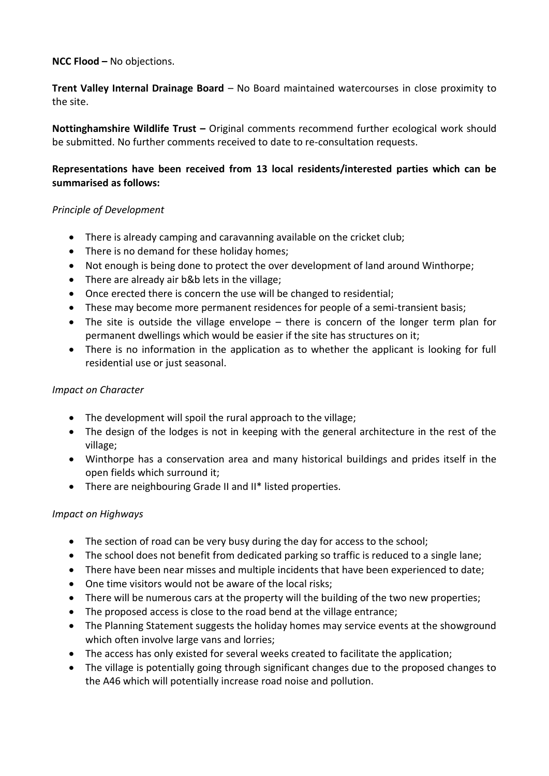## **NCC Flood –** No objections.

**Trent Valley Internal Drainage Board** – No Board maintained watercourses in close proximity to the site.

**Nottinghamshire Wildlife Trust –** Original comments recommend further ecological work should be submitted. No further comments received to date to re-consultation requests.

## **Representations have been received from 13 local residents/interested parties which can be summarised as follows:**

### *Principle of Development*

- There is already camping and caravanning available on the cricket club;
- There is no demand for these holiday homes;
- Not enough is being done to protect the over development of land around Winthorpe;
- There are already air b&b lets in the village;
- Once erected there is concern the use will be changed to residential;
- These may become more permanent residences for people of a semi-transient basis;
- The site is outside the village envelope there is concern of the longer term plan for permanent dwellings which would be easier if the site has structures on it;
- There is no information in the application as to whether the applicant is looking for full residential use or just seasonal.

## *Impact on Character*

- The development will spoil the rural approach to the village;
- The design of the lodges is not in keeping with the general architecture in the rest of the village;
- Winthorpe has a conservation area and many historical buildings and prides itself in the open fields which surround it;
- There are neighbouring Grade II and II\* listed properties.

## *Impact on Highways*

- The section of road can be very busy during the day for access to the school;
- The school does not benefit from dedicated parking so traffic is reduced to a single lane;
- There have been near misses and multiple incidents that have been experienced to date;
- One time visitors would not be aware of the local risks;
- There will be numerous cars at the property will the building of the two new properties;
- The proposed access is close to the road bend at the village entrance;
- The Planning Statement suggests the holiday homes may service events at the showground which often involve large vans and lorries;
- The access has only existed for several weeks created to facilitate the application;
- The village is potentially going through significant changes due to the proposed changes to the A46 which will potentially increase road noise and pollution.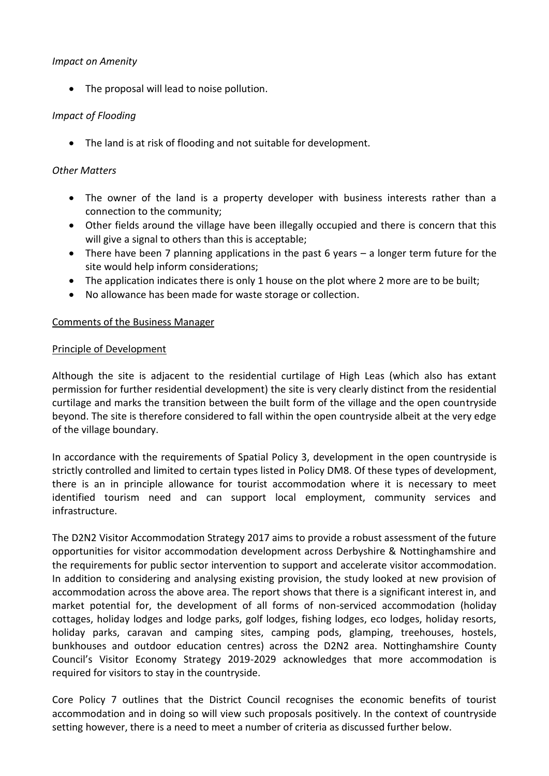### *Impact on Amenity*

• The proposal will lead to noise pollution.

## *Impact of Flooding*

The land is at risk of flooding and not suitable for development.

### *Other Matters*

- The owner of the land is a property developer with business interests rather than a connection to the community;
- Other fields around the village have been illegally occupied and there is concern that this will give a signal to others than this is acceptable;
- There have been 7 planning applications in the past 6 years a longer term future for the site would help inform considerations;
- The application indicates there is only 1 house on the plot where 2 more are to be built;
- No allowance has been made for waste storage or collection.

### Comments of the Business Manager

#### Principle of Development

Although the site is adjacent to the residential curtilage of High Leas (which also has extant permission for further residential development) the site is very clearly distinct from the residential curtilage and marks the transition between the built form of the village and the open countryside beyond. The site is therefore considered to fall within the open countryside albeit at the very edge of the village boundary.

In accordance with the requirements of Spatial Policy 3, development in the open countryside is strictly controlled and limited to certain types listed in Policy DM8. Of these types of development, there is an in principle allowance for tourist accommodation where it is necessary to meet identified tourism need and can support local employment, community services and infrastructure.

The D2N2 Visitor Accommodation Strategy 2017 aims to provide a robust assessment of the future opportunities for visitor accommodation development across Derbyshire & Nottinghamshire and the requirements for public sector intervention to support and accelerate visitor accommodation. In addition to considering and analysing existing provision, the study looked at new provision of accommodation across the above area. The report shows that there is a significant interest in, and market potential for, the development of all forms of non-serviced accommodation (holiday cottages, holiday lodges and lodge parks, golf lodges, fishing lodges, eco lodges, holiday resorts, holiday parks, caravan and camping sites, camping pods, glamping, treehouses, hostels, bunkhouses and outdoor education centres) across the D2N2 area. Nottinghamshire County Council's Visitor Economy Strategy 2019-2029 acknowledges that more accommodation is required for visitors to stay in the countryside.

Core Policy 7 outlines that the District Council recognises the economic benefits of tourist accommodation and in doing so will view such proposals positively. In the context of countryside setting however, there is a need to meet a number of criteria as discussed further below.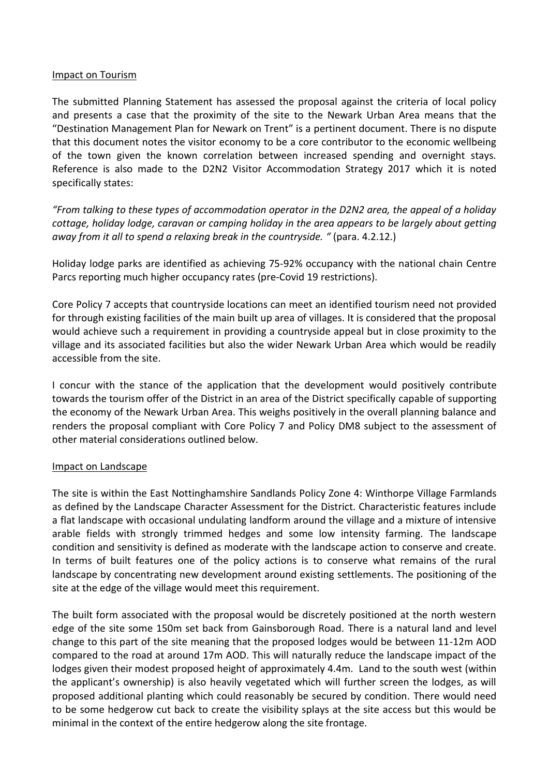#### Impact on Tourism

The submitted Planning Statement has assessed the proposal against the criteria of local policy and presents a case that the proximity of the site to the Newark Urban Area means that the "Destination Management Plan for Newark on Trent" is a pertinent document. There is no dispute that this document notes the visitor economy to be a core contributor to the economic wellbeing of the town given the known correlation between increased spending and overnight stays. Reference is also made to the D2N2 Visitor Accommodation Strategy 2017 which it is noted specifically states:

*"From talking to these types of accommodation operator in the D2N2 area, the appeal of a holiday cottage, holiday lodge, caravan or camping holiday in the area appears to be largely about getting away from it all to spend a relaxing break in the countryside. "* (para. 4.2.12.)

Holiday lodge parks are identified as achieving 75-92% occupancy with the national chain Centre Parcs reporting much higher occupancy rates (pre-Covid 19 restrictions).

Core Policy 7 accepts that countryside locations can meet an identified tourism need not provided for through existing facilities of the main built up area of villages. It is considered that the proposal would achieve such a requirement in providing a countryside appeal but in close proximity to the village and its associated facilities but also the wider Newark Urban Area which would be readily accessible from the site.

I concur with the stance of the application that the development would positively contribute towards the tourism offer of the District in an area of the District specifically capable of supporting the economy of the Newark Urban Area. This weighs positively in the overall planning balance and renders the proposal compliant with Core Policy 7 and Policy DM8 subject to the assessment of other material considerations outlined below.

## Impact on Landscape

The site is within the East Nottinghamshire Sandlands Policy Zone 4: Winthorpe Village Farmlands as defined by the Landscape Character Assessment for the District. Characteristic features include a flat landscape with occasional undulating landform around the village and a mixture of intensive arable fields with strongly trimmed hedges and some low intensity farming. The landscape condition and sensitivity is defined as moderate with the landscape action to conserve and create. In terms of built features one of the policy actions is to conserve what remains of the rural landscape by concentrating new development around existing settlements. The positioning of the site at the edge of the village would meet this requirement.

The built form associated with the proposal would be discretely positioned at the north western edge of the site some 150m set back from Gainsborough Road. There is a natural land and level change to this part of the site meaning that the proposed lodges would be between 11-12m AOD compared to the road at around 17m AOD. This will naturally reduce the landscape impact of the lodges given their modest proposed height of approximately 4.4m. Land to the south west (within the applicant's ownership) is also heavily vegetated which will further screen the lodges, as will proposed additional planting which could reasonably be secured by condition. There would need to be some hedgerow cut back to create the visibility splays at the site access but this would be minimal in the context of the entire hedgerow along the site frontage.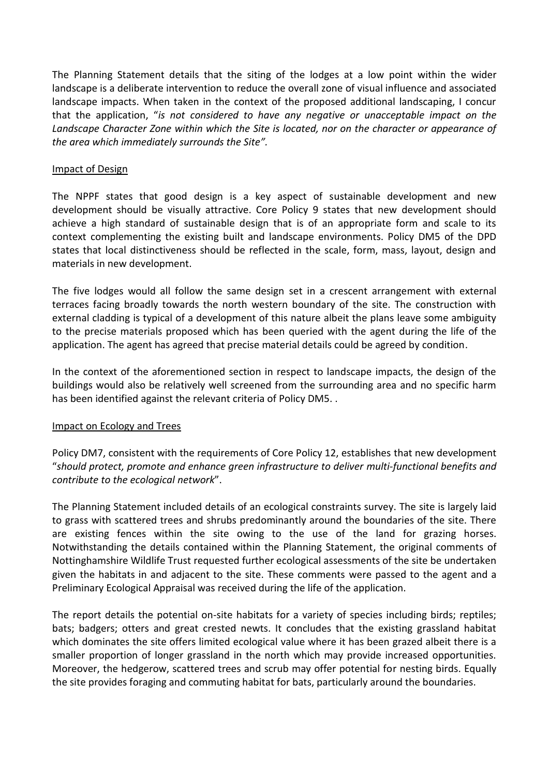The Planning Statement details that the siting of the lodges at a low point within the wider landscape is a deliberate intervention to reduce the overall zone of visual influence and associated landscape impacts. When taken in the context of the proposed additional landscaping, I concur that the application, "*is not considered to have any negative or unacceptable impact on the Landscape Character Zone within which the Site is located, nor on the character or appearance of the area which immediately surrounds the Site".*

### Impact of Design

The NPPF states that good design is a key aspect of sustainable development and new development should be visually attractive. Core Policy 9 states that new development should achieve a high standard of sustainable design that is of an appropriate form and scale to its context complementing the existing built and landscape environments. Policy DM5 of the DPD states that local distinctiveness should be reflected in the scale, form, mass, layout, design and materials in new development.

The five lodges would all follow the same design set in a crescent arrangement with external terraces facing broadly towards the north western boundary of the site. The construction with external cladding is typical of a development of this nature albeit the plans leave some ambiguity to the precise materials proposed which has been queried with the agent during the life of the application. The agent has agreed that precise material details could be agreed by condition.

In the context of the aforementioned section in respect to landscape impacts, the design of the buildings would also be relatively well screened from the surrounding area and no specific harm has been identified against the relevant criteria of Policy DM5. .

### Impact on Ecology and Trees

Policy DM7, consistent with the requirements of Core Policy 12, establishes that new development "*should protect, promote and enhance green infrastructure to deliver multi-functional benefits and contribute to the ecological network*".

The Planning Statement included details of an ecological constraints survey. The site is largely laid to grass with scattered trees and shrubs predominantly around the boundaries of the site. There are existing fences within the site owing to the use of the land for grazing horses. Notwithstanding the details contained within the Planning Statement, the original comments of Nottinghamshire Wildlife Trust requested further ecological assessments of the site be undertaken given the habitats in and adjacent to the site. These comments were passed to the agent and a Preliminary Ecological Appraisal was received during the life of the application.

The report details the potential on-site habitats for a variety of species including birds; reptiles; bats; badgers; otters and great crested newts. It concludes that the existing grassland habitat which dominates the site offers limited ecological value where it has been grazed albeit there is a smaller proportion of longer grassland in the north which may provide increased opportunities. Moreover, the hedgerow, scattered trees and scrub may offer potential for nesting birds. Equally the site provides foraging and commuting habitat for bats, particularly around the boundaries.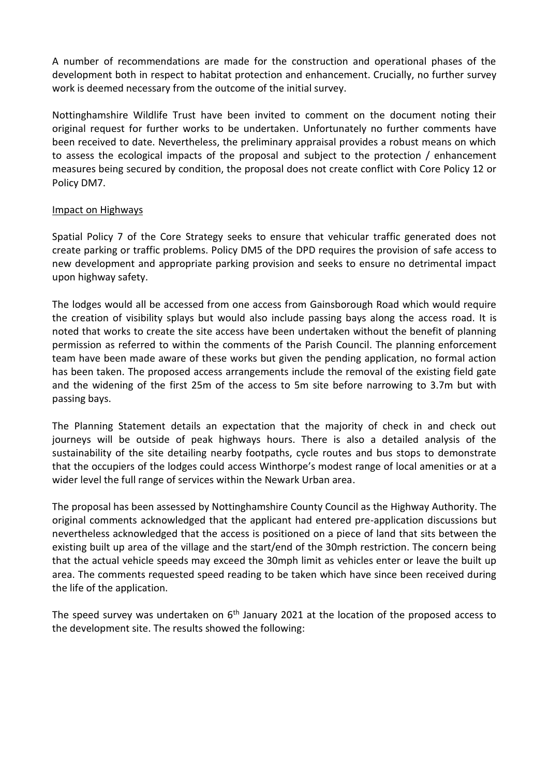A number of recommendations are made for the construction and operational phases of the development both in respect to habitat protection and enhancement. Crucially, no further survey work is deemed necessary from the outcome of the initial survey.

Nottinghamshire Wildlife Trust have been invited to comment on the document noting their original request for further works to be undertaken. Unfortunately no further comments have been received to date. Nevertheless, the preliminary appraisal provides a robust means on which to assess the ecological impacts of the proposal and subject to the protection / enhancement measures being secured by condition, the proposal does not create conflict with Core Policy 12 or Policy DM7.

### Impact on Highways

Spatial Policy 7 of the Core Strategy seeks to ensure that vehicular traffic generated does not create parking or traffic problems. Policy DM5 of the DPD requires the provision of safe access to new development and appropriate parking provision and seeks to ensure no detrimental impact upon highway safety.

The lodges would all be accessed from one access from Gainsborough Road which would require the creation of visibility splays but would also include passing bays along the access road. It is noted that works to create the site access have been undertaken without the benefit of planning permission as referred to within the comments of the Parish Council. The planning enforcement team have been made aware of these works but given the pending application, no formal action has been taken. The proposed access arrangements include the removal of the existing field gate and the widening of the first 25m of the access to 5m site before narrowing to 3.7m but with passing bays.

The Planning Statement details an expectation that the majority of check in and check out journeys will be outside of peak highways hours. There is also a detailed analysis of the sustainability of the site detailing nearby footpaths, cycle routes and bus stops to demonstrate that the occupiers of the lodges could access Winthorpe's modest range of local amenities or at a wider level the full range of services within the Newark Urban area.

The proposal has been assessed by Nottinghamshire County Council as the Highway Authority. The original comments acknowledged that the applicant had entered pre-application discussions but nevertheless acknowledged that the access is positioned on a piece of land that sits between the existing built up area of the village and the start/end of the 30mph restriction. The concern being that the actual vehicle speeds may exceed the 30mph limit as vehicles enter or leave the built up area. The comments requested speed reading to be taken which have since been received during the life of the application.

The speed survey was undertaken on  $6<sup>th</sup>$  January 2021 at the location of the proposed access to the development site. The results showed the following: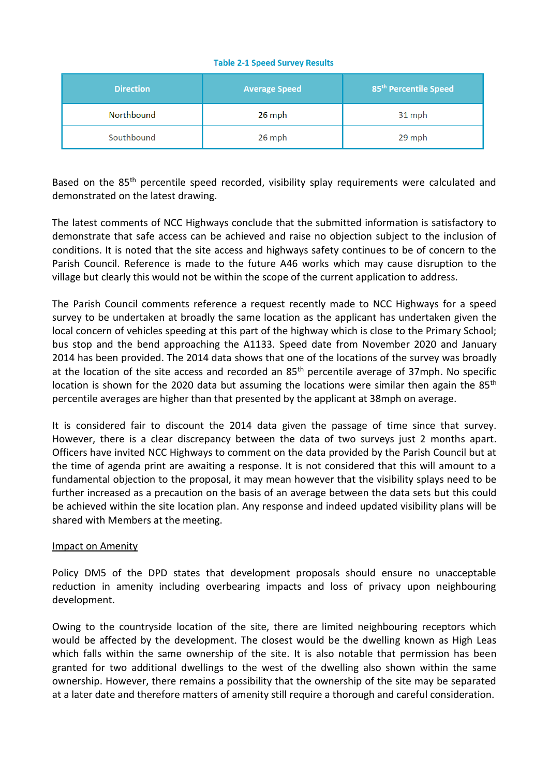#### **Table 2-1 Speed Survey Results**

| <b>Direction</b> | <b>Average Speed</b> | 85 <sup>th</sup> Percentile Speed |
|------------------|----------------------|-----------------------------------|
| Northbound       | 26 mph               | 31 mph                            |
| Southbound       | 26 mph               | 29 mph                            |

Based on the 85<sup>th</sup> percentile speed recorded, visibility splay requirements were calculated and demonstrated on the latest drawing.

The latest comments of NCC Highways conclude that the submitted information is satisfactory to demonstrate that safe access can be achieved and raise no objection subject to the inclusion of conditions. It is noted that the site access and highways safety continues to be of concern to the Parish Council. Reference is made to the future A46 works which may cause disruption to the village but clearly this would not be within the scope of the current application to address.

The Parish Council comments reference a request recently made to NCC Highways for a speed survey to be undertaken at broadly the same location as the applicant has undertaken given the local concern of vehicles speeding at this part of the highway which is close to the Primary School; bus stop and the bend approaching the A1133. Speed date from November 2020 and January 2014 has been provided. The 2014 data shows that one of the locations of the survey was broadly at the location of the site access and recorded an 85<sup>th</sup> percentile average of 37mph. No specific location is shown for the 2020 data but assuming the locations were similar then again the 85<sup>th</sup> percentile averages are higher than that presented by the applicant at 38mph on average.

It is considered fair to discount the 2014 data given the passage of time since that survey. However, there is a clear discrepancy between the data of two surveys just 2 months apart. Officers have invited NCC Highways to comment on the data provided by the Parish Council but at the time of agenda print are awaiting a response. It is not considered that this will amount to a fundamental objection to the proposal, it may mean however that the visibility splays need to be further increased as a precaution on the basis of an average between the data sets but this could be achieved within the site location plan. Any response and indeed updated visibility plans will be shared with Members at the meeting.

### Impact on Amenity

Policy DM5 of the DPD states that development proposals should ensure no unacceptable reduction in amenity including overbearing impacts and loss of privacy upon neighbouring development.

Owing to the countryside location of the site, there are limited neighbouring receptors which would be affected by the development. The closest would be the dwelling known as High Leas which falls within the same ownership of the site. It is also notable that permission has been granted for two additional dwellings to the west of the dwelling also shown within the same ownership. However, there remains a possibility that the ownership of the site may be separated at a later date and therefore matters of amenity still require a thorough and careful consideration.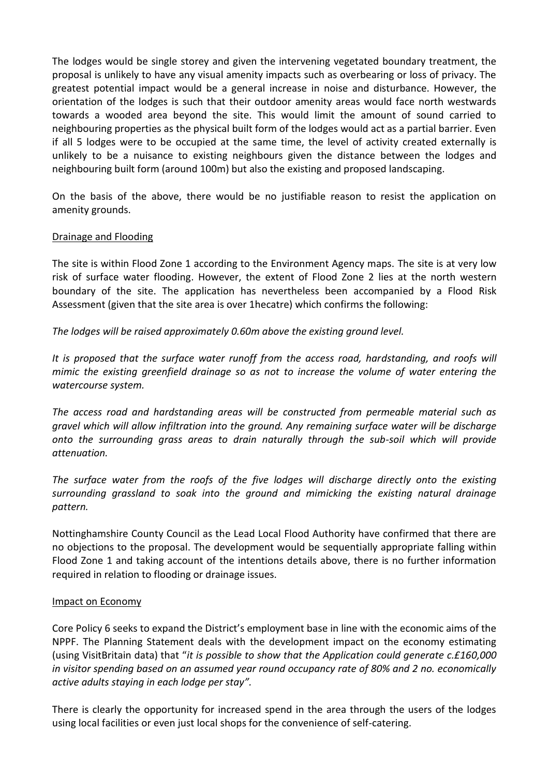The lodges would be single storey and given the intervening vegetated boundary treatment, the proposal is unlikely to have any visual amenity impacts such as overbearing or loss of privacy. The greatest potential impact would be a general increase in noise and disturbance. However, the orientation of the lodges is such that their outdoor amenity areas would face north westwards towards a wooded area beyond the site. This would limit the amount of sound carried to neighbouring properties as the physical built form of the lodges would act as a partial barrier. Even if all 5 lodges were to be occupied at the same time, the level of activity created externally is unlikely to be a nuisance to existing neighbours given the distance between the lodges and neighbouring built form (around 100m) but also the existing and proposed landscaping.

On the basis of the above, there would be no justifiable reason to resist the application on amenity grounds.

### Drainage and Flooding

The site is within Flood Zone 1 according to the Environment Agency maps. The site is at very low risk of surface water flooding. However, the extent of Flood Zone 2 lies at the north western boundary of the site. The application has nevertheless been accompanied by a Flood Risk Assessment (given that the site area is over 1hecatre) which confirms the following:

*The lodges will be raised approximately 0.60m above the existing ground level.* 

*It is proposed that the surface water runoff from the access road, hardstanding, and roofs will mimic the existing greenfield drainage so as not to increase the volume of water entering the watercourse system.* 

*The access road and hardstanding areas will be constructed from permeable material such as gravel which will allow infiltration into the ground. Any remaining surface water will be discharge onto the surrounding grass areas to drain naturally through the sub-soil which will provide attenuation.*

*The surface water from the roofs of the five lodges will discharge directly onto the existing surrounding grassland to soak into the ground and mimicking the existing natural drainage pattern.*

Nottinghamshire County Council as the Lead Local Flood Authority have confirmed that there are no objections to the proposal. The development would be sequentially appropriate falling within Flood Zone 1 and taking account of the intentions details above, there is no further information required in relation to flooding or drainage issues.

### Impact on Economy

Core Policy 6 seeks to expand the District's employment base in line with the economic aims of the NPPF. The Planning Statement deals with the development impact on the economy estimating (using VisitBritain data) that "*it is possible to show that the Application could generate c.£160,000 in visitor spending based on an assumed year round occupancy rate of 80% and 2 no. economically active adults staying in each lodge per stay".*

There is clearly the opportunity for increased spend in the area through the users of the lodges using local facilities or even just local shops for the convenience of self-catering.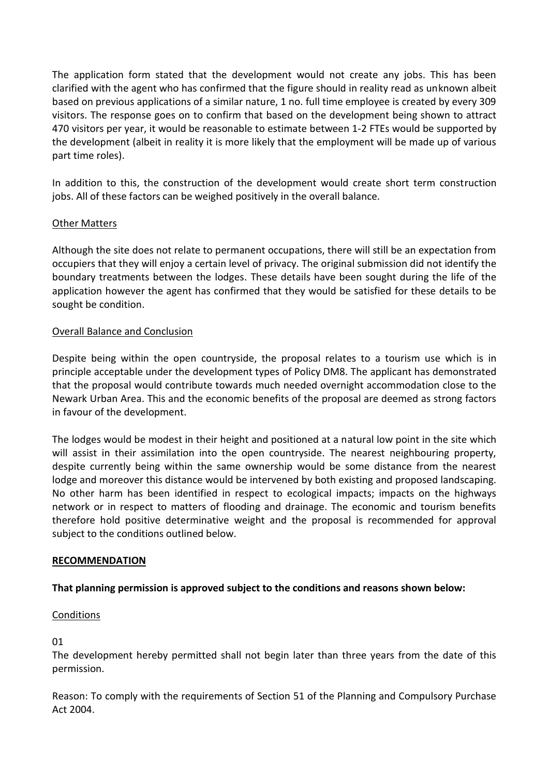The application form stated that the development would not create any jobs. This has been clarified with the agent who has confirmed that the figure should in reality read as unknown albeit based on previous applications of a similar nature, 1 no. full time employee is created by every 309 visitors. The response goes on to confirm that based on the development being shown to attract 470 visitors per year, it would be reasonable to estimate between 1-2 FTEs would be supported by the development (albeit in reality it is more likely that the employment will be made up of various part time roles).

In addition to this, the construction of the development would create short term construction jobs. All of these factors can be weighed positively in the overall balance.

## Other Matters

Although the site does not relate to permanent occupations, there will still be an expectation from occupiers that they will enjoy a certain level of privacy. The original submission did not identify the boundary treatments between the lodges. These details have been sought during the life of the application however the agent has confirmed that they would be satisfied for these details to be sought be condition.

### Overall Balance and Conclusion

Despite being within the open countryside, the proposal relates to a tourism use which is in principle acceptable under the development types of Policy DM8. The applicant has demonstrated that the proposal would contribute towards much needed overnight accommodation close to the Newark Urban Area. This and the economic benefits of the proposal are deemed as strong factors in favour of the development.

The lodges would be modest in their height and positioned at a natural low point in the site which will assist in their assimilation into the open countryside. The nearest neighbouring property, despite currently being within the same ownership would be some distance from the nearest lodge and moreover this distance would be intervened by both existing and proposed landscaping. No other harm has been identified in respect to ecological impacts; impacts on the highways network or in respect to matters of flooding and drainage. The economic and tourism benefits therefore hold positive determinative weight and the proposal is recommended for approval subject to the conditions outlined below.

### **RECOMMENDATION**

### **That planning permission is approved subject to the conditions and reasons shown below:**

### Conditions

01

The development hereby permitted shall not begin later than three years from the date of this permission.

Reason: To comply with the requirements of Section 51 of the Planning and Compulsory Purchase Act 2004.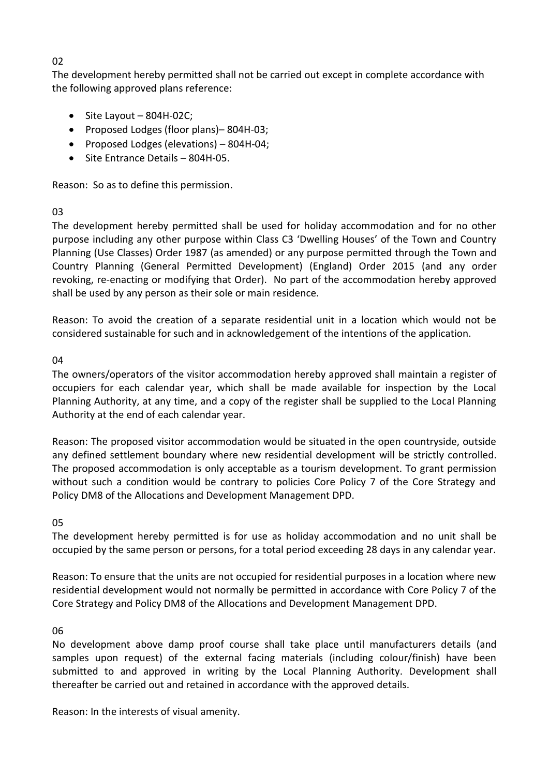## 02

The development hereby permitted shall not be carried out except in complete accordance with the following approved plans reference:

- $\bullet$  Site Layout 804H-02C;
- Proposed Lodges (floor plans)-804H-03;
- Proposed Lodges (elevations)  $-$  804H-04;
- Site Entrance Details 804H-05.

Reason: So as to define this permission.

### 03

The development hereby permitted shall be used for holiday accommodation and for no other purpose including any other purpose within Class C3 'Dwelling Houses' of the Town and Country Planning (Use Classes) Order 1987 (as amended) or any purpose permitted through the Town and Country Planning (General Permitted Development) (England) Order 2015 (and any order revoking, re-enacting or modifying that Order). No part of the accommodation hereby approved shall be used by any person as their sole or main residence.

Reason: To avoid the creation of a separate residential unit in a location which would not be considered sustainable for such and in acknowledgement of the intentions of the application.

### 04

The owners/operators of the visitor accommodation hereby approved shall maintain a register of occupiers for each calendar year, which shall be made available for inspection by the Local Planning Authority, at any time, and a copy of the register shall be supplied to the Local Planning Authority at the end of each calendar year.

Reason: The proposed visitor accommodation would be situated in the open countryside, outside any defined settlement boundary where new residential development will be strictly controlled. The proposed accommodation is only acceptable as a tourism development. To grant permission without such a condition would be contrary to policies Core Policy 7 of the Core Strategy and Policy DM8 of the Allocations and Development Management DPD.

## 05

The development hereby permitted is for use as holiday accommodation and no unit shall be occupied by the same person or persons, for a total period exceeding 28 days in any calendar year.

Reason: To ensure that the units are not occupied for residential purposes in a location where new residential development would not normally be permitted in accordance with Core Policy 7 of the Core Strategy and Policy DM8 of the Allocations and Development Management DPD.

## 06

No development above damp proof course shall take place until manufacturers details (and samples upon request) of the external facing materials (including colour/finish) have been submitted to and approved in writing by the Local Planning Authority. Development shall thereafter be carried out and retained in accordance with the approved details.

Reason: In the interests of visual amenity.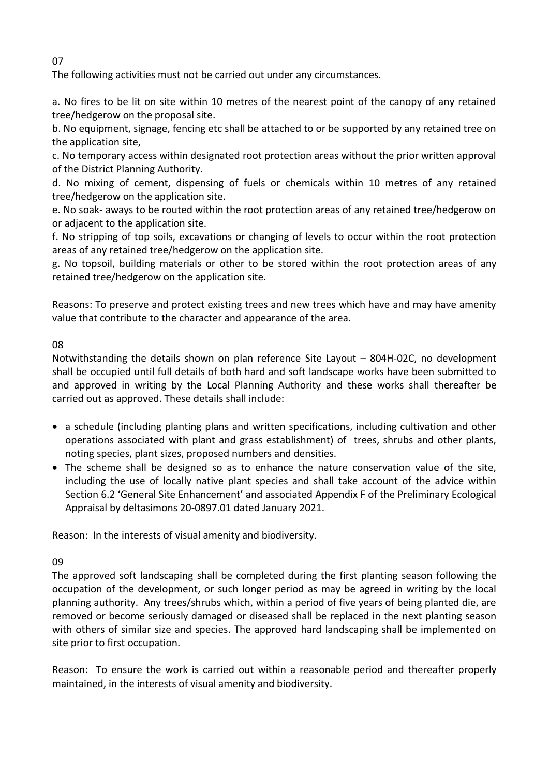The following activities must not be carried out under any circumstances.

a. No fires to be lit on site within 10 metres of the nearest point of the canopy of any retained tree/hedgerow on the proposal site.

b. No equipment, signage, fencing etc shall be attached to or be supported by any retained tree on the application site,

c. No temporary access within designated root protection areas without the prior written approval of the District Planning Authority.

d. No mixing of cement, dispensing of fuels or chemicals within 10 metres of any retained tree/hedgerow on the application site.

e. No soak- aways to be routed within the root protection areas of any retained tree/hedgerow on or adjacent to the application site.

f. No stripping of top soils, excavations or changing of levels to occur within the root protection areas of any retained tree/hedgerow on the application site.

g. No topsoil, building materials or other to be stored within the root protection areas of any retained tree/hedgerow on the application site.

Reasons: To preserve and protect existing trees and new trees which have and may have amenity value that contribute to the character and appearance of the area.

08

Notwithstanding the details shown on plan reference Site Layout – 804H-02C, no development shall be occupied until full details of both hard and soft landscape works have been submitted to and approved in writing by the Local Planning Authority and these works shall thereafter be carried out as approved. These details shall include:

- a schedule (including planting plans and written specifications, including cultivation and other operations associated with plant and grass establishment) of trees, shrubs and other plants, noting species, plant sizes, proposed numbers and densities.
- The scheme shall be designed so as to enhance the nature conservation value of the site, including the use of locally native plant species and shall take account of the advice within Section 6.2 'General Site Enhancement' and associated Appendix F of the Preliminary Ecological Appraisal by deltasimons 20-0897.01 dated January 2021.

Reason: In the interests of visual amenity and biodiversity.

09

The approved soft landscaping shall be completed during the first planting season following the occupation of the development, or such longer period as may be agreed in writing by the local planning authority. Any trees/shrubs which, within a period of five years of being planted die, are removed or become seriously damaged or diseased shall be replaced in the next planting season with others of similar size and species. The approved hard landscaping shall be implemented on site prior to first occupation.

Reason: To ensure the work is carried out within a reasonable period and thereafter properly maintained, in the interests of visual amenity and biodiversity.

07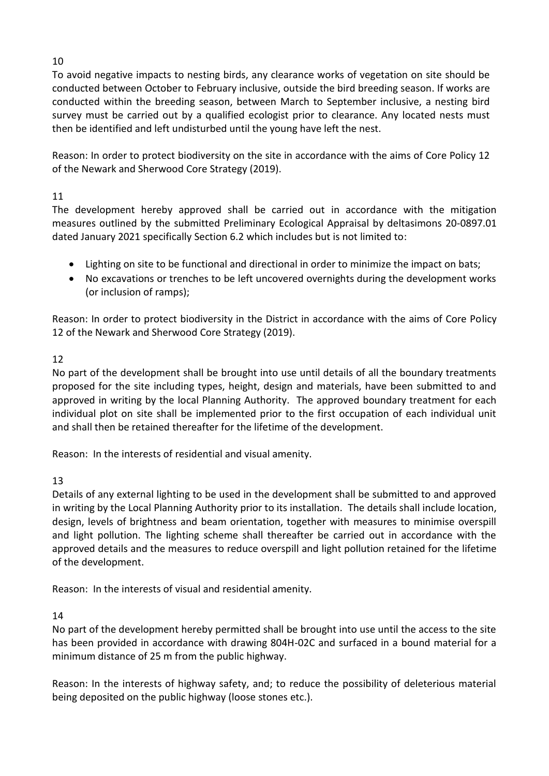# 10

To avoid negative impacts to nesting birds, any clearance works of vegetation on site should be conducted between October to February inclusive, outside the bird breeding season. If works are conducted within the breeding season, between March to September inclusive, a nesting bird survey must be carried out by a qualified ecologist prior to clearance. Any located nests must then be identified and left undisturbed until the young have left the nest.

Reason: In order to protect biodiversity on the site in accordance with the aims of Core Policy 12 of the Newark and Sherwood Core Strategy (2019).

# 11

The development hereby approved shall be carried out in accordance with the mitigation measures outlined by the submitted Preliminary Ecological Appraisal by deltasimons 20-0897.01 dated January 2021 specifically Section 6.2 which includes but is not limited to:

- Lighting on site to be functional and directional in order to minimize the impact on bats;
- No excavations or trenches to be left uncovered overnights during the development works (or inclusion of ramps);

Reason: In order to protect biodiversity in the District in accordance with the aims of Core Policy 12 of the Newark and Sherwood Core Strategy (2019).

# 12

No part of the development shall be brought into use until details of all the boundary treatments proposed for the site including types, height, design and materials, have been submitted to and approved in writing by the local Planning Authority. The approved boundary treatment for each individual plot on site shall be implemented prior to the first occupation of each individual unit and shall then be retained thereafter for the lifetime of the development.

Reason: In the interests of residential and visual amenity.

## 13

Details of any external lighting to be used in the development shall be submitted to and approved in writing by the Local Planning Authority prior to its installation. The details shall include location, design, levels of brightness and beam orientation, together with measures to minimise overspill and light pollution. The lighting scheme shall thereafter be carried out in accordance with the approved details and the measures to reduce overspill and light pollution retained for the lifetime of the development.

Reason: In the interests of visual and residential amenity.

## 14

No part of the development hereby permitted shall be brought into use until the access to the site has been provided in accordance with drawing 804H-02C and surfaced in a bound material for a minimum distance of 25 m from the public highway.

Reason: In the interests of highway safety, and; to reduce the possibility of deleterious material being deposited on the public highway (loose stones etc.).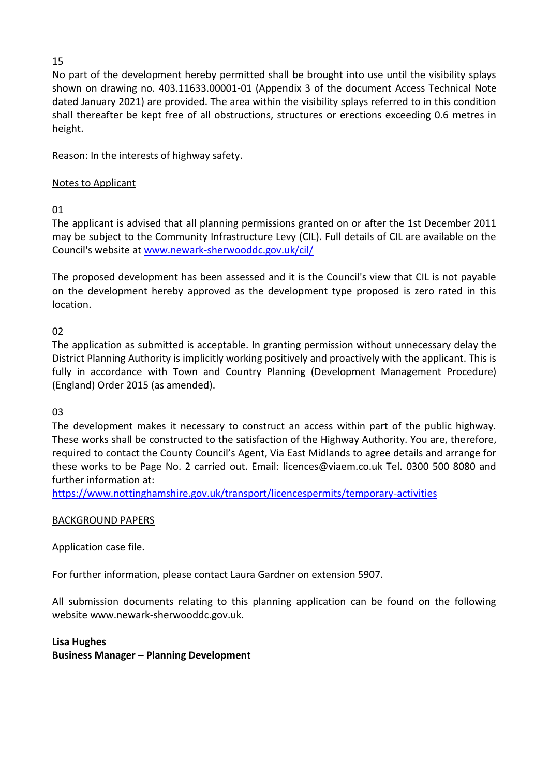## 15

No part of the development hereby permitted shall be brought into use until the visibility splays shown on drawing no. 403.11633.00001-01 (Appendix 3 of the document Access Technical Note dated January 2021) are provided. The area within the visibility splays referred to in this condition shall thereafter be kept free of all obstructions, structures or erections exceeding 0.6 metres in height.

Reason: In the interests of highway safety.

## Notes to Applicant

01

The applicant is advised that all planning permissions granted on or after the 1st December 2011 may be subject to the Community Infrastructure Levy (CIL). Full details of CIL are available on the Council's website at [www.newark-sherwooddc.gov.uk/cil/](http://www.newark-sherwooddc.gov.uk/cil/)

The proposed development has been assessed and it is the Council's view that CIL is not payable on the development hereby approved as the development type proposed is zero rated in this location.

02

The application as submitted is acceptable. In granting permission without unnecessary delay the District Planning Authority is implicitly working positively and proactively with the applicant. This is fully in accordance with Town and Country Planning (Development Management Procedure) (England) Order 2015 (as amended).

03

The development makes it necessary to construct an access within part of the public highway. These works shall be constructed to the satisfaction of the Highway Authority. You are, therefore, required to contact the County Council's Agent, Via East Midlands to agree details and arrange for these works to be Page No. 2 carried out. Email: licences@viaem.co.uk Tel. 0300 500 8080 and further information at:

<https://www.nottinghamshire.gov.uk/transport/licencespermits/temporary-activities>

## BACKGROUND PAPERS

Application case file.

For further information, please contact Laura Gardner on extension 5907.

All submission documents relating to this planning application can be found on the following websit[e www.newark-sherwooddc.gov.uk.](http://www.newark-sherwooddc.gov.uk/)

**Lisa Hughes Business Manager – Planning Development**